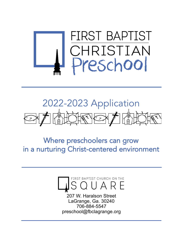

# 2022-2023 Application  $\overbrace{\text{A}}^{\text{A}}$  $H\circ H\circ H$

Where preschoolers can grow in a nurturing Christ-centered environment



207 W. Haralson Street LaGrange, Ga. 30240 706-884-5547 preschool@fbclagrange.org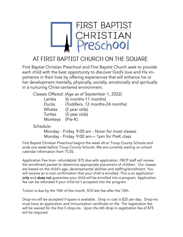

## AT FIRST BAPTIST CHURCH ON THE SQUARE

First Baptist Christian Preschool and First Baptist Church seek to provide each child with the best opportunity to discover God's love and His importance in their lives by offering experiences that will enhance his or her development mentally, physically, socially, emotionally and spiritually in a nurturing Christ-centered environment.

|                 | Classes Offered: (Age as of September 1, 2022) |
|-----------------|------------------------------------------------|
| Lambs           | (6 months-11 months)                           |
| Ducks           | (Toddlers, 12 months-24 months)                |
| Whales          | (2 year olds)                                  |
| Turtles         | (3 year olds)                                  |
| Monkeys (Pre-K) |                                                |

Schedule:

Monday - Friday 9:00 am - Noon for most classes Monday - Friday 9:00 am— 1pm for PreK class

First Baptist Christian Preschool begins the week aft er Troup County Schools and ends one week before Troup County Schools. We are currently waiting on school calendar information from TCSS.

Application Fee (non- refundable): \$75 due with application. FBCP staff will review the enrollment packet to determine appropriate placement of children. Our classes are based on the child's age, developmental abilities and staffing/enrollment. You will receive an e-mail confirmation that your child is enrolled. This is an application only and does not guarantee your child will be enrolled into a program. Application fee can be refunded if your child isn't accepted into the program.

Tuition is due by the 10th of the month, \$10 late fee after the 10th.

Drop-ins will be accepted if space is available. Drop in cost is \$25 per day. Drop-ins must have an application and immunization certificate on file. The registration fee will be waived for the first 5 drop-ins. Upon the 6th drop in registration fee of \$75 will be required.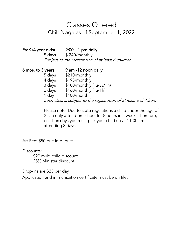Classes Offered

### Child's age as of September 1, 2022

| PreK (4 year olds) | $9:00-1$ pm daily<br>5 days \$240/monthly                         |
|--------------------|-------------------------------------------------------------------|
|                    | Subject to the registration of at least 6 children.               |
| 6 mos. to 3 years  | 9 am -12 noon daily                                               |
| 5 days             | \$210/monthly                                                     |
| 4 days             | \$195/monthly                                                     |
| 3 days             | \$180/monthly (Tu/W/Th)                                           |
| 2 days             | \$160/monthly (Tu/Th)                                             |
| 1 day              | \$100/month                                                       |
|                    | Each class is subject to the registration of at least 6 children. |

Please note: Due to state regulations a child under the age of 2 can only attend preschool for 8 hours in a week. Therefore, on Thursdays you must pick your child up at 11:00 am if attending 3 days.

Art Fee: \$50 due in August

Discounts:

\$20 multi child discount 25% Minister discount

Drop-Ins are \$25 per day.

Application and immunization certificate must be on file.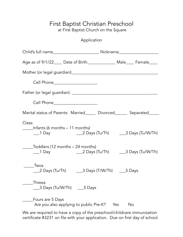#### First Baptist Christian Preschool at First Baptist Church on the Square

Application

| Age as of 9/1/22_____ Date of Birth:________________ Male_____ Female_____                                           |           |  |
|----------------------------------------------------------------------------------------------------------------------|-----------|--|
|                                                                                                                      |           |  |
| Cell Phone______________________                                                                                     |           |  |
|                                                                                                                      |           |  |
| Cell Phone______________________                                                                                     |           |  |
| Marital status of Parents: Married_____ Divorced______ Separated_____                                                |           |  |
| Class:<br>Infants (6 months – 11 months)<br>____1 Day _______________________2 Days (Tu/Th) ________3 Days (Tu/W/Th) |           |  |
| _Toddlers (12 months – 24 months)<br>___1 Day ______________________2 Days (Tu/Th) _______3 Days (Tu/W/Th)           |           |  |
| <b>Twos</b><br>___2 Days (Tu/Th) ______3 Days (T/W/Th) _____5 Days                                                   |           |  |
| Threes<br>_3 Days (Tu/W/Th) ____5 Days                                                                               |           |  |
| Fours are 5 Days<br>Are you also applying to public Pre-K?                                                           | No<br>Yes |  |
| We are required to have a copy of the preschool/childcare immunization                                               |           |  |

certificate #3231 on file with your application. Due on first day of school.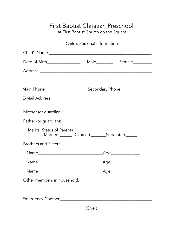## First Baptist Christian Preschool

at First Baptist Church on the Square

|                                                                                   | Child's Personal Information |                               |  |
|-----------------------------------------------------------------------------------|------------------------------|-------------------------------|--|
|                                                                                   |                              |                               |  |
|                                                                                   |                              |                               |  |
|                                                                                   |                              |                               |  |
|                                                                                   |                              |                               |  |
| Main Phone: ___________________________________ Secondary Phone:_________________ |                              |                               |  |
|                                                                                   |                              |                               |  |
|                                                                                   |                              |                               |  |
|                                                                                   |                              |                               |  |
| <b>Marital Status of Parents</b>                                                  |                              | Married: Divorced: Separated: |  |
| <b>Brothers and Sisters:</b>                                                      |                              |                               |  |
|                                                                                   |                              | _Age_______________           |  |
|                                                                                   |                              | _Age________________          |  |
|                                                                                   |                              |                               |  |
|                                                                                   |                              |                               |  |
|                                                                                   |                              |                               |  |
|                                                                                   |                              |                               |  |

(Over)